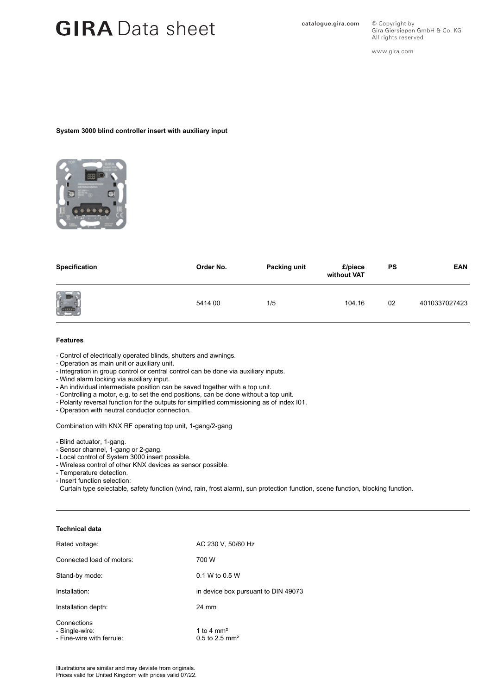## GIRA Data sheet **Catalogue.gira.com**

All rights reserved www.gira.com

© Copyright by

Gira Giersiepen GmbH & Co. KG

#### **System 3000 blind controller insert with auxiliary input**



| Specification | Order No. | Packing unit | £/piece<br>without VAT | PS | <b>EAN</b>    |
|---------------|-----------|--------------|------------------------|----|---------------|
| $\frac{1}{2}$ | 5414 00   | 1/5          | 104.16                 | 02 | 4010337027423 |

#### **Features**

- Control of electrically operated blinds, shutters and awnings.
- Operation as main unit or auxiliary unit.
- Integration in group control or central control can be done via auxiliary inputs.
- Wind alarm locking via auxiliary input.
- An individual intermediate position can be saved together with a top unit.
- Controlling a motor, e.g. to set the end positions, can be done without a top unit.
- Polarity reversal function for the outputs for simplified commissioning as of index I01.
- Operation with neutral conductor connection.

Combination with KNX RF operating top unit, 1-gang/2-gang

- Blind actuator, 1-gang.
- Sensor channel, 1-gang or 2-gang.
- Local control of System 3000 insert possible.
- Wireless control of other KNX devices as sensor possible.
- Temperature detection.
- Insert function selection:

Curtain type selectable, safety function (wind, rain, frost alarm), sun protection function, scene function, blocking function.

### **Technical data**

| Rated voltage:                                             | AC 230 V, 50/60 Hz                           |  |  |
|------------------------------------------------------------|----------------------------------------------|--|--|
| Connected load of motors:                                  | 700 W                                        |  |  |
| Stand-by mode:                                             | $0.1 W$ to $0.5 W$                           |  |  |
| Installation:                                              | in device box pursuant to DIN 49073          |  |  |
| Installation depth:                                        | 24 mm                                        |  |  |
| Connections<br>- Single-wire:<br>- Fine-wire with ferrule: | 1 to 4 $mm2$<br>$0.5$ to 2.5 mm <sup>2</sup> |  |  |